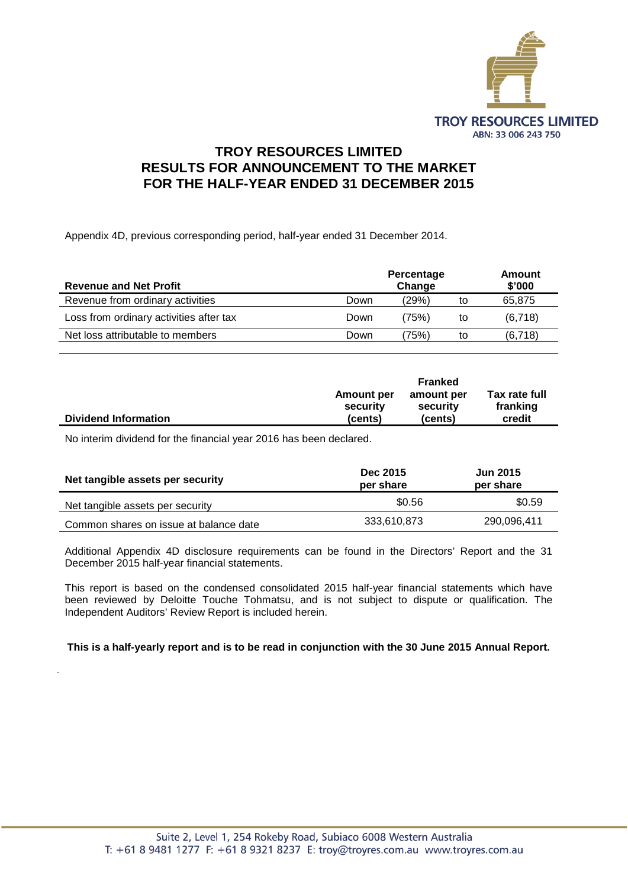

### **TROY RESOURCES LIMITED RESULTS FOR ANNOUNCEMENT TO THE MARKET FOR THE HALF-YEAR ENDED 31 DECEMBER 2015**

Appendix 4D, previous corresponding period, half-year ended 31 December 2014.

| <b>Revenue and Net Profit</b>           |      | Percentage<br>Change |    | <b>Amount</b><br>\$'000 |
|-----------------------------------------|------|----------------------|----|-------------------------|
| Revenue from ordinary activities        | Down | (29%)                | to | 65.875                  |
| Loss from ordinary activities after tax | Down | (75%)                | to | (6,718)                 |
| Net loss attributable to members        | Down | 75%)                 | to | (6,718)                 |

|                             |            | Franked    |               |  |
|-----------------------------|------------|------------|---------------|--|
|                             | Amount per | amount per | Tax rate full |  |
|                             | security   | security   | franking      |  |
| <b>Dividend Information</b> | (cents)    | (cents)    | credit        |  |

No interim dividend for the financial year 2016 has been declared.

.

| Net tangible assets per security       | Dec 2015<br>per share | <b>Jun 2015</b><br>per share |
|----------------------------------------|-----------------------|------------------------------|
| Net tangible assets per security       | \$0.56                | \$0.59                       |
| Common shares on issue at balance date | 333,610,873           | 290,096,411                  |

Additional Appendix 4D disclosure requirements can be found in the Directors' Report and the 31 December 2015 half-year financial statements.

This report is based on the condensed consolidated 2015 half-year financial statements which have been reviewed by Deloitte Touche Tohmatsu, and is not subject to dispute or qualification. The Independent Auditors' Review Report is included herein.

**This is a half-yearly report and is to be read in conjunction with the 30 June 2015 Annual Report.**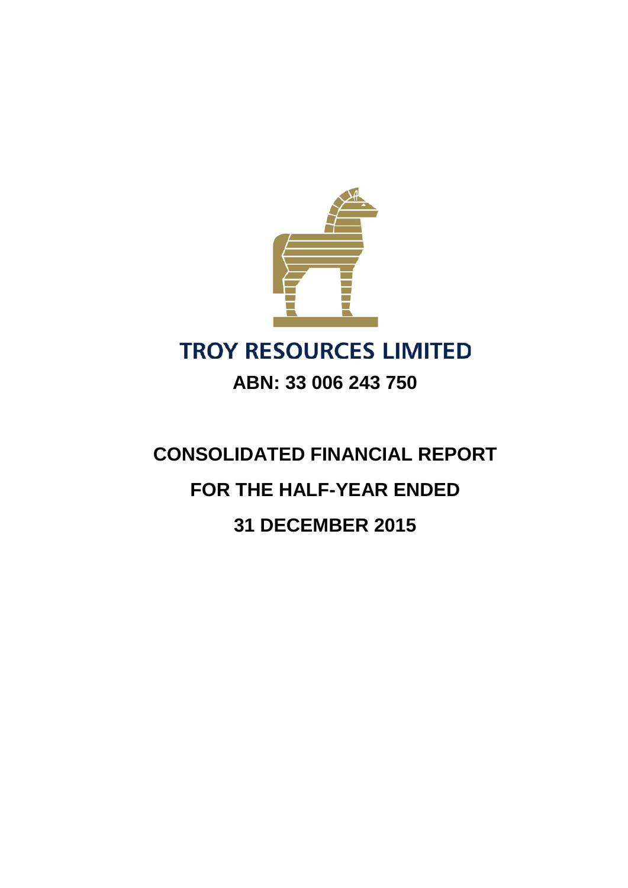

**CONSOLIDATED FINANCIAL REPORT FOR THE HALF-YEAR ENDED 31 DECEMBER 2015**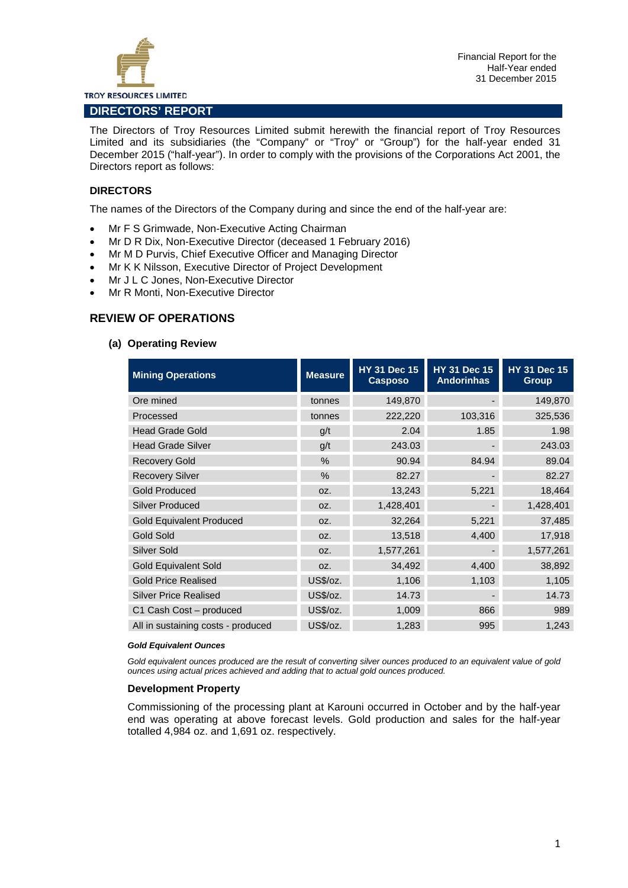

The Directors of Troy Resources Limited submit herewith the financial report of Troy Resources Limited and its subsidiaries (the "Company" or "Troy" or "Group") for the half-year ended 31 December 2015 ("half-year"). In order to comply with the provisions of the Corporations Act 2001, the Directors report as follows:

#### **DIRECTORS**

The names of the Directors of the Company during and since the end of the half-year are:

- Mr F S Grimwade, Non-Executive Acting Chairman
- Mr D R Dix, Non-Executive Director (deceased 1 February 2016)
- Mr M D Purvis, Chief Executive Officer and Managing Director
- Mr K K Nilsson, Executive Director of Project Development
- Mr J L C Jones, Non-Executive Director
- Mr R Monti, Non-Executive Director

#### **REVIEW OF OPERATIONS**

#### **(a) Operating Review**

| <b>Mining Operations</b>           | <b>Measure</b> | <b>HY 31 Dec 15</b><br><b>Casposo</b> | <b>HY 31 Dec 15</b><br><b>Andorinhas</b> | <b>HY 31 Dec 15</b><br><b>Group</b> |
|------------------------------------|----------------|---------------------------------------|------------------------------------------|-------------------------------------|
| Ore mined                          | tonnes         | 149,870                               |                                          | 149,870                             |
| Processed                          | tonnes         | 222,220                               | 103,316                                  | 325,536                             |
| <b>Head Grade Gold</b>             | q/t            | 2.04                                  | 1.85                                     | 1.98                                |
| <b>Head Grade Silver</b>           | q/t            | 243.03                                |                                          | 243.03                              |
| <b>Recovery Gold</b>               | $\%$           | 90.94                                 | 84.94                                    | 89.04                               |
| <b>Recovery Silver</b>             | $\%$           | 82.27                                 |                                          | 82.27                               |
| <b>Gold Produced</b>               | OZ.            | 13,243                                | 5,221                                    | 18,464                              |
| <b>Silver Produced</b>             | OZ.            | 1,428,401                             |                                          | 1,428,401                           |
| <b>Gold Equivalent Produced</b>    | OZ.            | 32,264                                | 5,221                                    | 37,485                              |
| <b>Gold Sold</b>                   | OZ.            | 13,518                                | 4,400                                    | 17,918                              |
| Silver Sold                        | OZ.            | 1,577,261                             |                                          | 1,577,261                           |
| <b>Gold Equivalent Sold</b>        | OZ.            | 34,492                                | 4,400                                    | 38,892                              |
| <b>Gold Price Realised</b>         | US\$/oz.       | 1,106                                 | 1,103                                    | 1,105                               |
| <b>Silver Price Realised</b>       | US\$/oz.       | 14.73                                 |                                          | 14.73                               |
| C1 Cash Cost – produced            | US\$/oz.       | 1,009                                 | 866                                      | 989                                 |
| All in sustaining costs - produced | US\$/oz.       | 1,283                                 | 995                                      | 1,243                               |

#### *Gold Equivalent Ounces*

*Gold equivalent ounces produced are the result of converting silver ounces produced to an equivalent value of gold ounces using actual prices achieved and adding that to actual gold ounces produced.*

#### **Development Property**

Commissioning of the processing plant at Karouni occurred in October and by the half-year end was operating at above forecast levels. Gold production and sales for the half-year totalled 4,984 oz. and 1,691 oz. respectively.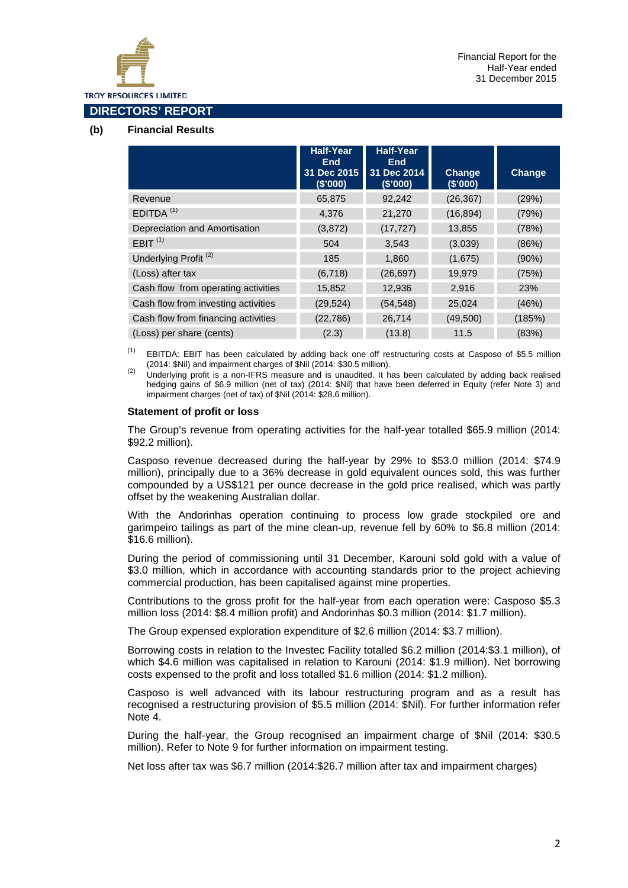

#### **DIRECTORS' REPORT**

#### **(b) Financial Results**

|                                     | <b>Half-Year</b><br><b>End</b><br>31 Dec 2015<br>(\$'000) | <b>Half-Year</b><br><b>End</b><br>31 Dec 2014<br>(\$'000) | Change<br>(\$'000) | Change   |
|-------------------------------------|-----------------------------------------------------------|-----------------------------------------------------------|--------------------|----------|
| Revenue                             | 65,875                                                    | 92,242                                                    | (26, 367)          | (29%)    |
| EDITDA <sup>(1)</sup>               | 4.376                                                     | 21,270                                                    | (16, 894)          | (79%)    |
| Depreciation and Amortisation       | (3, 872)                                                  | (17, 727)                                                 | 13,855             | (78%)    |
| EBIT <sup>(1)</sup>                 | 504                                                       | 3,543                                                     | (3,039)            | (86%)    |
| Underlying Profit <sup>(2)</sup>    | 185                                                       | 1,860                                                     | (1,675)            | $(90\%)$ |
| (Loss) after tax                    | (6,718)                                                   | (26, 697)                                                 | 19,979             | (75%)    |
| Cash flow from operating activities | 15,852                                                    | 12,936                                                    | 2,916              | 23%      |
| Cash flow from investing activities | (29, 524)                                                 | (54, 548)                                                 | 25,024             | (46%)    |
| Cash flow from financing activities | (22, 786)                                                 | 26,714                                                    | (49,500)           | (185%)   |
| (Loss) per share (cents)            | (2.3)                                                     | (13.8)                                                    | 11.5               | (83%)    |

<sup>(1)</sup> EBITDA: EBIT has been calculated by adding back one off restructuring costs at Casposo of \$5.5 million (2014: \$Nil) and impairment charges of \$Nil (2014: \$30.5 million).

 $(2)$  Underlying profit is a non-IFRS measure and is unaudited. It has been calculated by adding back realised hedging gains of \$6.9 million (net of tax) (2014: \$Nil) that have been deferred in Equity (refer Note 3) and impairment charges (net of tax) of \$Nil (2014: \$28.6 million).

#### **Statement of profit or loss**

The Group's revenue from operating activities for the half-year totalled \$65.9 million (2014: \$92.2 million).

Casposo revenue decreased during the half-year by 29% to \$53.0 million (2014: \$74.9 million), principally due to a 36% decrease in gold equivalent ounces sold, this was further compounded by a US\$121 per ounce decrease in the gold price realised, which was partly offset by the weakening Australian dollar.

With the Andorinhas operation continuing to process low grade stockpiled ore and garimpeiro tailings as part of the mine clean-up, revenue fell by 60% to \$6.8 million (2014: \$16.6 million).

During the period of commissioning until 31 December, Karouni sold gold with a value of \$3.0 million, which in accordance with accounting standards prior to the project achieving commercial production, has been capitalised against mine properties.

Contributions to the gross profit for the half-year from each operation were: Casposo \$5.3 million loss (2014: \$8.4 million profit) and Andorinhas \$0.3 million (2014: \$1.7 million).

The Group expensed exploration expenditure of \$2.6 million (2014: \$3.7 million).

Borrowing costs in relation to the Investec Facility totalled \$6.2 million (2014:\$3.1 million), of which \$4.6 million was capitalised in relation to Karouni (2014: \$1.9 million). Net borrowing costs expensed to the profit and loss totalled \$1.6 million (2014: \$1.2 million).

Casposo is well advanced with its labour restructuring program and as a result has recognised a restructuring provision of \$5.5 million (2014: \$Nil). For further information refer Note 4.

During the half-year, the Group recognised an impairment charge of \$Nil (2014: \$30.5 million). Refer to Note 9 for further information on impairment testing.

Net loss after tax was \$6.7 million (2014:\$26.7 million after tax and impairment charges)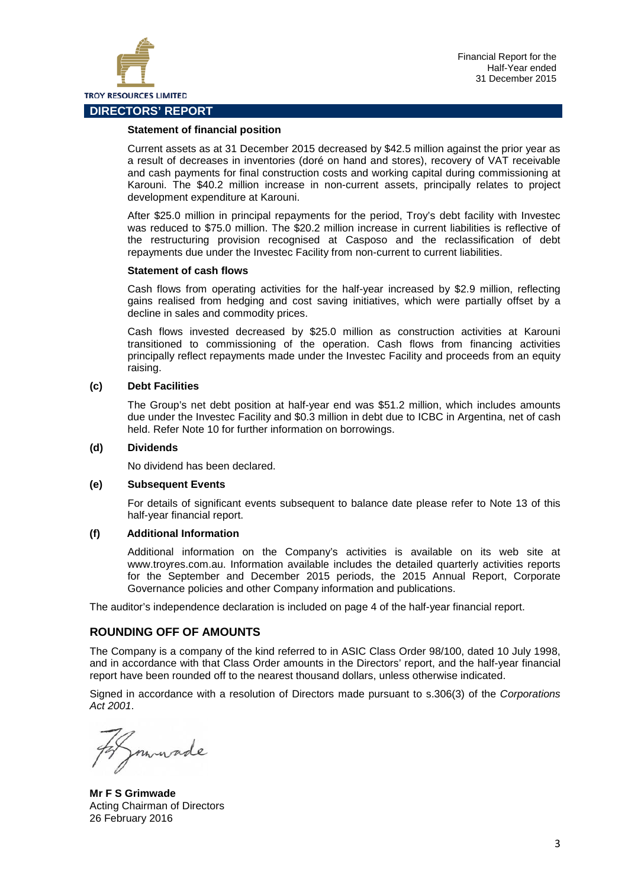

#### **Statement of financial position**

Current assets as at 31 December 2015 decreased by \$42.5 million against the prior year as a result of decreases in inventories (doré on hand and stores), recovery of VAT receivable and cash payments for final construction costs and working capital during commissioning at Karouni. The \$40.2 million increase in non-current assets, principally relates to project development expenditure at Karouni.

After \$25.0 million in principal repayments for the period, Troy's debt facility with Investec was reduced to \$75.0 million. The \$20.2 million increase in current liabilities is reflective of the restructuring provision recognised at Casposo and the reclassification of debt repayments due under the Investec Facility from non-current to current liabilities.

#### **Statement of cash flows**

Cash flows from operating activities for the half-year increased by \$2.9 million, reflecting gains realised from hedging and cost saving initiatives, which were partially offset by a decline in sales and commodity prices.

Cash flows invested decreased by \$25.0 million as construction activities at Karouni transitioned to commissioning of the operation. Cash flows from financing activities principally reflect repayments made under the Investec Facility and proceeds from an equity raising.

#### **(c) Debt Facilities**

The Group's net debt position at half-year end was \$51.2 million, which includes amounts due under the Investec Facility and \$0.3 million in debt due to ICBC in Argentina, net of cash held. Refer Note 10 for further information on borrowings.

#### **(d) Dividends**

No dividend has been declared.

#### **(e) Subsequent Events**

For details of significant events subsequent to balance date please refer to Note 13 of this half-year financial report.

#### **(f) Additional Information**

Additional information on the Company's activities is available on its web site at www.troyres.com.au. Information available includes the detailed quarterly activities reports for the September and December 2015 periods, the 2015 Annual Report, Corporate Governance policies and other Company information and publications.

The auditor's independence declaration is included on page 4 of the half-year financial report.

#### **ROUNDING OFF OF AMOUNTS**

The Company is a company of the kind referred to in ASIC Class Order 98/100, dated 10 July 1998, and in accordance with that Class Order amounts in the Directors' report, and the half-year financial report have been rounded off to the nearest thousand dollars, unless otherwise indicated.

Signed in accordance with a resolution of Directors made pursuant to s.306(3) of the *Corporations Act 2001*.

made

**Mr F S Grimwade** Acting Chairman of Directors 26 February 2016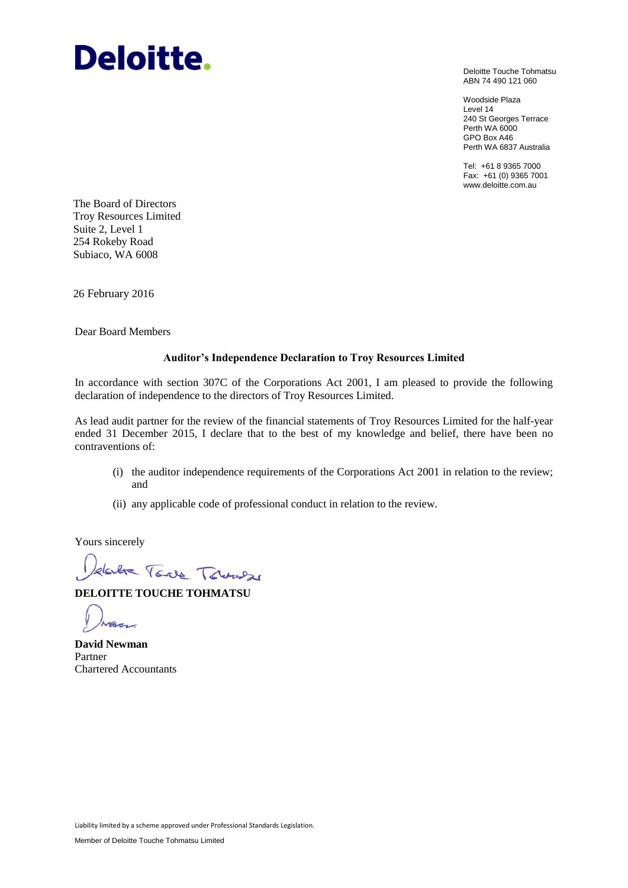## **Deloitte.**

Deloitte Touche Tohmatsu ABN 74 490 121 060

Woodside Plaza Level 14 240 St Georges Terrace Perth WA 6000 GPO Box A46 Perth WA 6837 Australia

Tel: +61 8 9365 7000 Fax: +61 (0) 9365 7001 www.deloitte.com.au

The Board of Directors Troy Resources Limited Suite 2, Level 1 254 Rokeby Road Subiaco, WA 6008

26 February 2016

Dear Board Members

#### **Auditor's Independence Declaration to Troy Resources Limited**

In accordance with section 307C of the Corporations Act 2001, I am pleased to provide the following declaration of independence to the directors of Troy Resources Limited.

As lead audit partner for the review of the financial statements of Troy Resources Limited for the half-year ended 31 December 2015, I declare that to the best of my knowledge and belief, there have been no contraventions of:

- (i) the auditor independence requirements of the Corporations Act 2001 in relation to the review; and
- (ii) any applicable code of professional conduct in relation to the review.

Yours sincerely

date Tode Towned

**DELOITTE TOUCHE TOHMATSU**

**David Newman** Partner Chartered Accountants

Liability limited by a scheme approved under Professional Standards Legislation.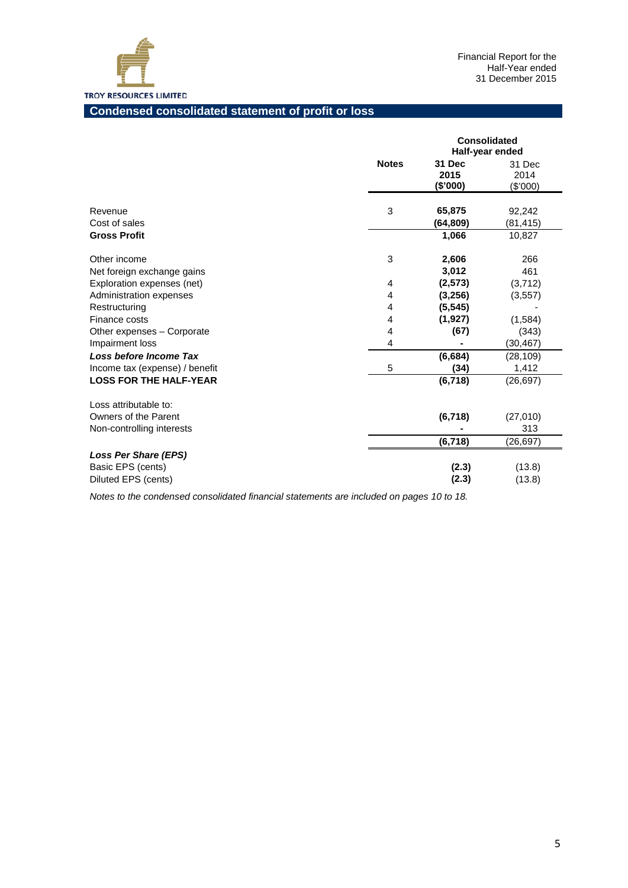

#### **Condensed consolidated statement of profit or loss**

|                                            |              | <b>Consolidated</b><br>Half-year ended |                            |
|--------------------------------------------|--------------|----------------------------------------|----------------------------|
|                                            | <b>Notes</b> | 31 Dec<br>2015<br>(\$'000)             | 31 Dec<br>2014<br>(\$'000) |
| Revenue<br>Cost of sales                   | 3            | 65,875<br>(64,809)                     | 92,242<br>(81, 415)        |
| <b>Gross Profit</b>                        |              | 1,066                                  | 10,827                     |
| Other income<br>Net foreign exchange gains | $\mathbf{3}$ | 2,606<br>3,012                         | 266<br>461                 |
| Exploration expenses (net)                 | 4            | (2, 573)                               | (3,712)                    |
| Administration expenses                    | 4            | (3,256)                                | (3, 557)                   |
| Restructuring                              | 4            | (5, 545)                               |                            |
| Finance costs                              | 4            | (1, 927)                               | (1,584)                    |
| Other expenses - Corporate                 | 4            | (67)                                   | (343)                      |
| Impairment loss                            | 4            |                                        | (30, 467)                  |
| Loss before Income Tax                     |              | (6,684)                                | (28, 109)                  |
| Income tax (expense) / benefit             | 5            | (34)                                   | 1,412                      |
| <b>LOSS FOR THE HALF-YEAR</b>              |              | (6, 718)                               | (26, 697)                  |
| Loss attributable to:                      |              |                                        |                            |
| Owners of the Parent                       |              | (6, 718)                               | (27,010)                   |
| Non-controlling interests                  |              |                                        | 313                        |
|                                            |              | (6,718)                                | (26, 697)                  |
| <b>Loss Per Share (EPS)</b>                |              |                                        |                            |
| Basic EPS (cents)                          |              | (2.3)                                  | (13.8)                     |
| Diluted EPS (cents)                        |              | (2.3)                                  | (13.8)                     |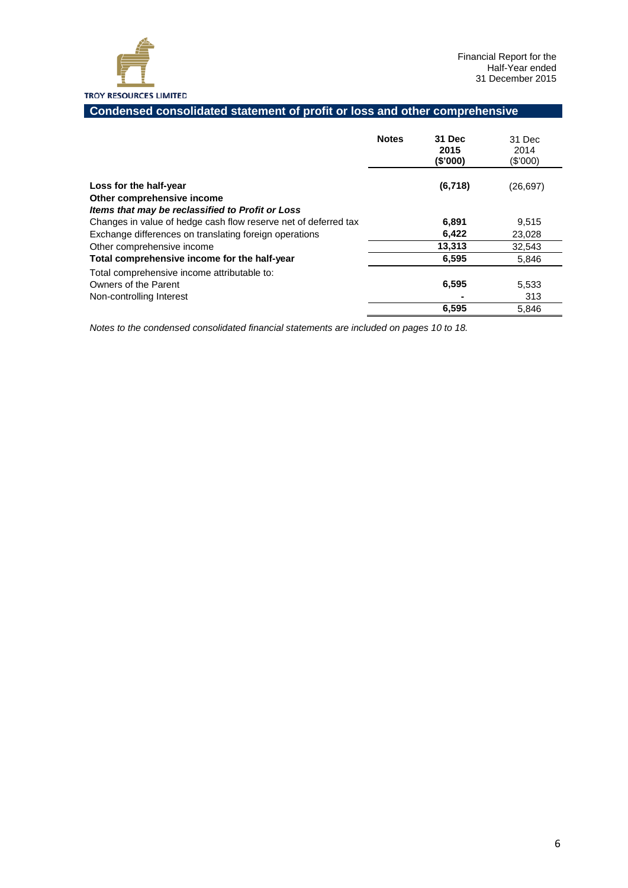

#### **Condensed consolidated statement of profit or loss and other comprehensive**

|                                                                                                                                                                               | <b>Notes</b> | 31 Dec<br>2015<br>(\$'000) | 31 Dec<br>2014<br>(\$'000) |
|-------------------------------------------------------------------------------------------------------------------------------------------------------------------------------|--------------|----------------------------|----------------------------|
| Loss for the half-year<br>Other comprehensive income                                                                                                                          |              | (6,718)                    | (26, 697)                  |
| Items that may be reclassified to Profit or Loss<br>Changes in value of hedge cash flow reserve net of deferred tax<br>Exchange differences on translating foreign operations |              | 6,891<br>6,422             | 9,515<br>23,028            |
| Other comprehensive income<br>Total comprehensive income for the half-year                                                                                                    |              | 13,313<br>6,595            | 32,543<br>5,846            |
| Total comprehensive income attributable to:<br>Owners of the Parent<br>Non-controlling Interest                                                                               |              | 6,595                      | 5,533<br>313               |
|                                                                                                                                                                               |              | 6,595                      | 5,846                      |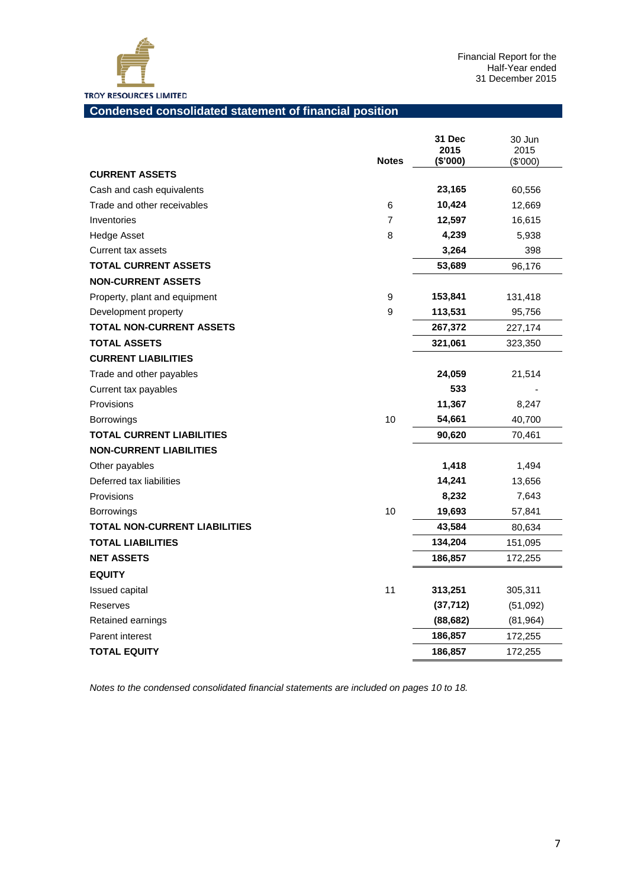

#### **Condensed consolidated statement of financial position**

|                                      | <b>Notes</b>   | 31 Dec<br>2015<br>(\$'000) | 30 Jun<br>2015<br>$(\$'000)$ |
|--------------------------------------|----------------|----------------------------|------------------------------|
| <b>CURRENT ASSETS</b>                |                |                            |                              |
| Cash and cash equivalents            |                | 23,165                     | 60,556                       |
| Trade and other receivables          | 6              | 10,424                     | 12,669                       |
| Inventories                          | $\overline{7}$ | 12,597                     | 16,615                       |
| Hedge Asset                          | 8              | 4,239                      | 5,938                        |
| Current tax assets                   |                | 3,264                      | 398                          |
| <b>TOTAL CURRENT ASSETS</b>          |                | 53,689                     | 96,176                       |
| <b>NON-CURRENT ASSETS</b>            |                |                            |                              |
| Property, plant and equipment        | 9              | 153,841                    | 131,418                      |
| Development property                 | 9              | 113,531                    | 95,756                       |
| <b>TOTAL NON-CURRENT ASSETS</b>      |                | 267,372                    | 227,174                      |
| <b>TOTAL ASSETS</b>                  |                | 321,061                    | 323,350                      |
| <b>CURRENT LIABILITIES</b>           |                |                            |                              |
| Trade and other payables             |                | 24,059                     | 21,514                       |
| Current tax payables                 |                | 533                        |                              |
| Provisions                           |                | 11,367                     | 8,247                        |
| <b>Borrowings</b>                    | 10             | 54,661                     | 40,700                       |
| TOTAL CURRENT LIABILITIES            |                | 90,620                     | 70,461                       |
| <b>NON-CURRENT LIABILITIES</b>       |                |                            |                              |
| Other payables                       |                | 1,418                      | 1,494                        |
| Deferred tax liabilities             |                | 14,241                     | 13,656                       |
| Provisions                           |                | 8,232                      | 7,643                        |
| <b>Borrowings</b>                    | 10             | 19,693                     | 57,841                       |
| <b>TOTAL NON-CURRENT LIABILITIES</b> |                | 43,584                     | 80,634                       |
| <b>TOTAL LIABILITIES</b>             |                | 134,204                    | 151,095                      |
| <b>NET ASSETS</b>                    |                | 186,857                    | 172,255                      |
| <b>EQUITY</b>                        |                |                            |                              |
| Issued capital                       | 11             | 313,251                    | 305,311                      |
| Reserves                             |                | (37, 712)                  | (51,092)                     |
| Retained earnings                    |                | (88, 682)                  | (81, 964)                    |
| Parent interest                      |                | 186,857                    | 172,255                      |
| <b>TOTAL EQUITY</b>                  |                | 186,857                    | 172,255                      |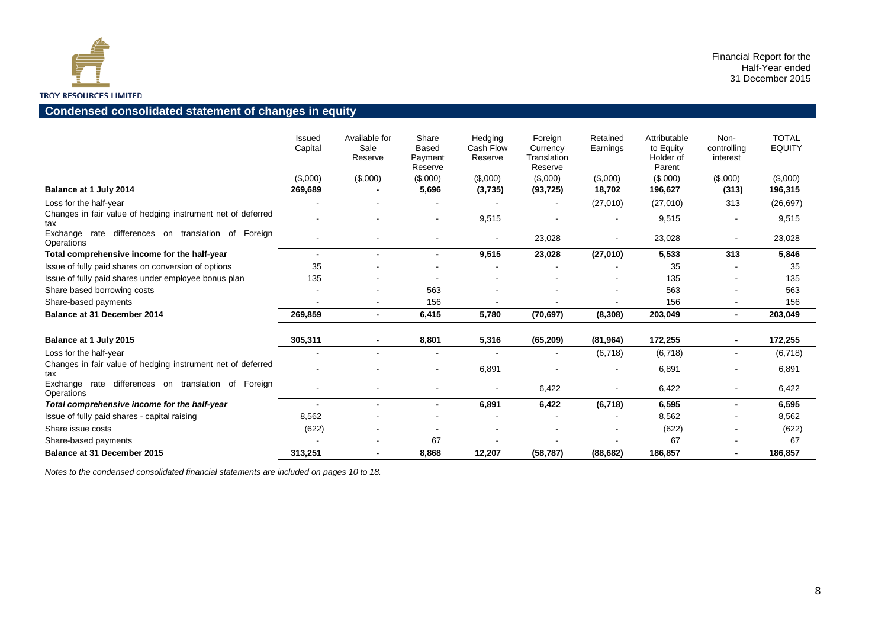

#### **Condensed consolidated statement of changes in equity**

|                                                                      | Issued<br>Capital | Available for<br>Sale<br>Reserve | Share<br><b>Based</b><br>Payment<br>Reserve | Hedging<br>Cash Flow<br>Reserve | Foreign<br>Currency<br>Translation<br>Reserve | Retained<br>Earnings | Attributable<br>to Equity<br>Holder of<br>Parent | Non-<br>controlling<br>interest | <b>TOTAL</b><br><b>EQUITY</b> |
|----------------------------------------------------------------------|-------------------|----------------------------------|---------------------------------------------|---------------------------------|-----------------------------------------------|----------------------|--------------------------------------------------|---------------------------------|-------------------------------|
|                                                                      | (\$,000)          | (\$,000)                         | (\$,000)                                    | (\$,000)                        | (\$,000)                                      | (\$,000)             | (\$,000)                                         | (\$,000)                        | (\$,000)                      |
| Balance at 1 July 2014                                               | 269,689           |                                  | 5,696                                       | (3,735)                         | (93, 725)                                     | 18,702               | 196,627                                          | (313)                           | 196,315                       |
| Loss for the half-year                                               |                   |                                  | $\blacksquare$                              |                                 |                                               | (27,010)             | (27,010)                                         | 313                             | (26, 697)                     |
| Changes in fair value of hedging instrument net of deferred<br>tax   |                   |                                  |                                             | 9,515                           |                                               |                      | 9,515                                            |                                 | 9,515                         |
| Exchange rate differences on translation of Foreign<br>Operations    |                   |                                  |                                             |                                 | 23,028                                        |                      | 23,028                                           |                                 | 23,028                        |
| Total comprehensive income for the half-year                         |                   | $\blacksquare$                   | $\blacksquare$                              | 9,515                           | 23,028                                        | (27, 010)            | 5,533                                            | 313                             | 5,846                         |
| Issue of fully paid shares on conversion of options                  | 35                |                                  |                                             |                                 |                                               |                      | 35                                               |                                 | 35                            |
| Issue of fully paid shares under employee bonus plan                 | 135               |                                  |                                             |                                 |                                               |                      | 135                                              |                                 | 135                           |
| Share based borrowing costs                                          |                   |                                  | 563                                         |                                 |                                               |                      | 563                                              |                                 | 563                           |
| Share-based payments                                                 |                   |                                  | 156                                         |                                 |                                               |                      | 156                                              |                                 | 156                           |
| <b>Balance at 31 December 2014</b>                                   | 269,859           | $\blacksquare$                   | 6,415                                       | 5,780                           | (70, 697)                                     | (8,308)              | 203,049                                          | $\blacksquare$                  | 203,049                       |
| Balance at 1 July 2015                                               | 305,311           | $\blacksquare$                   | 8,801                                       | 5,316                           | (65, 209)                                     | (81, 964)            | 172,255                                          |                                 | 172,255                       |
| Loss for the half-year                                               |                   |                                  | $\blacksquare$                              |                                 |                                               | (6,718)              | (6, 718)                                         |                                 | (6,718)                       |
| Changes in fair value of hedging instrument net of deferred<br>tax   |                   |                                  |                                             | 6,891                           |                                               |                      | 6,891                                            |                                 | 6,891                         |
| rate differences on translation of Foreign<br>Exchange<br>Operations |                   |                                  |                                             |                                 | 6,422                                         |                      | 6,422                                            |                                 | 6,422                         |
| Total comprehensive income for the half-year                         |                   |                                  |                                             | 6,891                           | 6,422                                         | (6, 718)             | 6,595                                            |                                 | 6,595                         |
| Issue of fully paid shares - capital raising                         | 8,562             |                                  |                                             |                                 |                                               |                      | 8,562                                            |                                 | 8,562                         |
| Share issue costs                                                    | (622)             |                                  |                                             |                                 |                                               |                      | (622)                                            |                                 | (622)                         |
| Share-based payments                                                 |                   |                                  | 67                                          |                                 |                                               |                      | 67                                               |                                 | 67                            |
| <b>Balance at 31 December 2015</b>                                   | 313,251           | $\blacksquare$                   | 8,868                                       | 12,207                          | (58, 787)                                     | (88, 682)            | 186,857                                          |                                 | 186,857                       |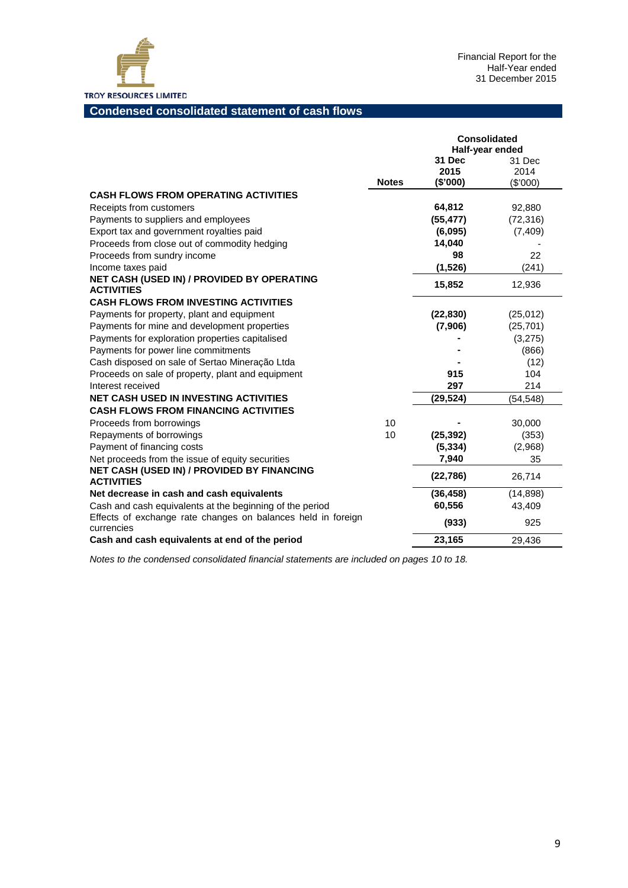

#### **Condensed consolidated statement of cash flows**

|                                                                            |              | <b>Consolidated</b> |                 |  |
|----------------------------------------------------------------------------|--------------|---------------------|-----------------|--|
|                                                                            |              |                     | Half-year ended |  |
|                                                                            |              | 31 Dec              | 31 Dec          |  |
|                                                                            |              | 2015                | 2014            |  |
|                                                                            | <b>Notes</b> | (\$'000)            | (\$'000)        |  |
| <b>CASH FLOWS FROM OPERATING ACTIVITIES</b>                                |              |                     |                 |  |
| Receipts from customers                                                    |              | 64,812              | 92,880          |  |
| Payments to suppliers and employees                                        |              | (55, 477)           | (72, 316)       |  |
| Export tax and government royalties paid                                   |              | (6,095)             | (7, 409)        |  |
| Proceeds from close out of commodity hedging                               |              | 14,040              |                 |  |
| Proceeds from sundry income                                                |              | 98                  | 22              |  |
| Income taxes paid                                                          |              | (1,526)             | (241)           |  |
| NET CASH (USED IN) / PROVIDED BY OPERATING<br><b>ACTIVITIES</b>            |              | 15,852              | 12,936          |  |
| <b>CASH FLOWS FROM INVESTING ACTIVITIES</b>                                |              |                     |                 |  |
| Payments for property, plant and equipment                                 |              | (22, 830)           | (25, 012)       |  |
| Payments for mine and development properties                               |              | (7,906)             | (25, 701)       |  |
| Payments for exploration properties capitalised                            |              |                     | (3,275)         |  |
| Payments for power line commitments                                        |              |                     | (866)           |  |
| Cash disposed on sale of Sertao Mineração Ltda                             |              |                     | (12)            |  |
| Proceeds on sale of property, plant and equipment                          |              | 915                 | 104             |  |
| Interest received                                                          |              | 297                 | 214             |  |
| <b>NET CASH USED IN INVESTING ACTIVITIES</b>                               |              | (29, 524)           | (54,548)        |  |
| <b>CASH FLOWS FROM FINANCING ACTIVITIES</b>                                |              |                     |                 |  |
| Proceeds from borrowings                                                   | 10           |                     | 30,000          |  |
| Repayments of borrowings                                                   | 10           | (25, 392)           | (353)           |  |
| Payment of financing costs                                                 |              | (5, 334)            | (2,968)         |  |
| Net proceeds from the issue of equity securities                           |              | 7,940               | 35              |  |
| NET CASH (USED IN) / PROVIDED BY FINANCING                                 |              | (22, 786)           | 26,714          |  |
| <b>ACTIVITIES</b>                                                          |              |                     |                 |  |
| Net decrease in cash and cash equivalents                                  |              | (36, 458)           | (14, 898)       |  |
| Cash and cash equivalents at the beginning of the period                   |              | 60,556              | 43,409          |  |
| Effects of exchange rate changes on balances held in foreign<br>currencies |              | (933)               | 925             |  |
| Cash and cash equivalents at end of the period                             |              | 23,165              | 29.436          |  |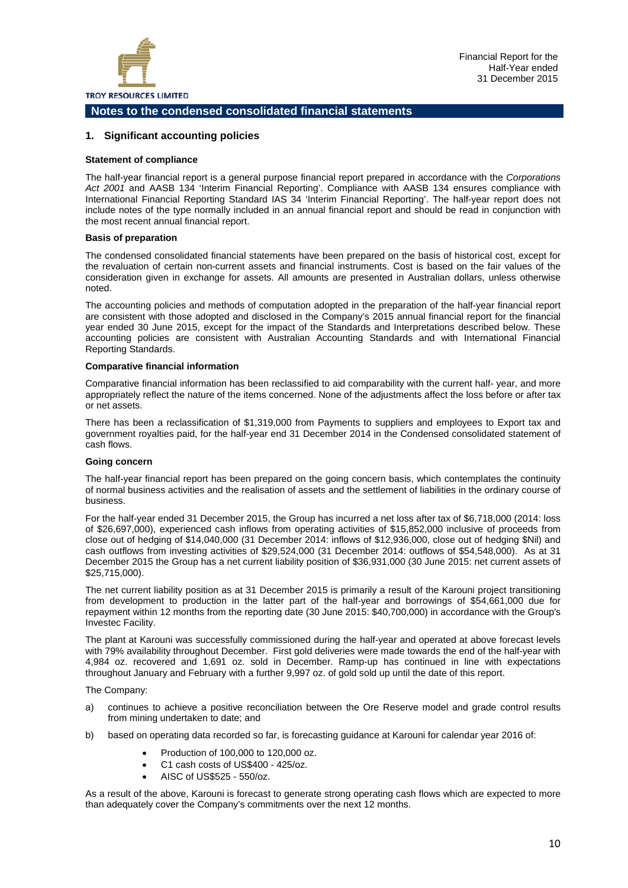

#### **1. Significant accounting policies**

#### **Statement of compliance**

The half-year financial report is a general purpose financial report prepared in accordance with the *Corporations Act 2001* and AASB 134 'Interim Financial Reporting'. Compliance with AASB 134 ensures compliance with International Financial Reporting Standard IAS 34 'Interim Financial Reporting'. The half-year report does not include notes of the type normally included in an annual financial report and should be read in conjunction with the most recent annual financial report.

#### **Basis of preparation**

The condensed consolidated financial statements have been prepared on the basis of historical cost, except for the revaluation of certain non-current assets and financial instruments. Cost is based on the fair values of the consideration given in exchange for assets. All amounts are presented in Australian dollars, unless otherwise noted.

The accounting policies and methods of computation adopted in the preparation of the half-year financial report are consistent with those adopted and disclosed in the Company's 2015 annual financial report for the financial year ended 30 June 2015, except for the impact of the Standards and Interpretations described below. These accounting policies are consistent with Australian Accounting Standards and with International Financial Reporting Standards.

#### **Comparative financial information**

Comparative financial information has been reclassified to aid comparability with the current half- year, and more appropriately reflect the nature of the items concerned. None of the adjustments affect the loss before or after tax or net assets.

There has been a reclassification of \$1,319,000 from Payments to suppliers and employees to Export tax and government royalties paid, for the half-year end 31 December 2014 in the Condensed consolidated statement of cash flows.

#### **Going concern**

The half-year financial report has been prepared on the going concern basis, which contemplates the continuity of normal business activities and the realisation of assets and the settlement of liabilities in the ordinary course of business.

For the half-year ended 31 December 2015, the Group has incurred a net loss after tax of \$6,718,000 (2014: loss of \$26,697,000), experienced cash inflows from operating activities of \$15,852,000 inclusive of proceeds from close out of hedging of \$14,040,000 (31 December 2014: inflows of \$12,936,000, close out of hedging \$Nil) and cash outflows from investing activities of \$29,524,000 (31 December 2014: outflows of \$54,548,000). As at 31 December 2015 the Group has a net current liability position of \$36,931,000 (30 June 2015: net current assets of \$25,715,000).

The net current liability position as at 31 December 2015 is primarily a result of the Karouni project transitioning from development to production in the latter part of the half-year and borrowings of \$54,661,000 due for repayment within 12 months from the reporting date (30 June 2015: \$40,700,000) in accordance with the Group's Investec Facility.

The plant at Karouni was successfully commissioned during the half-year and operated at above forecast levels with 79% availability throughout December. First gold deliveries were made towards the end of the half-year with 4,984 oz. recovered and 1,691 oz. sold in December. Ramp-up has continued in line with expectations throughout January and February with a further 9,997 oz. of gold sold up until the date of this report.

The Company:

- a) continues to achieve a positive reconciliation between the Ore Reserve model and grade control results from mining undertaken to date; and
- b) based on operating data recorded so far, is forecasting guidance at Karouni for calendar year 2016 of:
	- Production of 100,000 to 120,000 oz.
	- C1 cash costs of US\$400 425/oz.
	- AISC of US\$525 550/oz.

As a result of the above, Karouni is forecast to generate strong operating cash flows which are expected to more than adequately cover the Company's commitments over the next 12 months.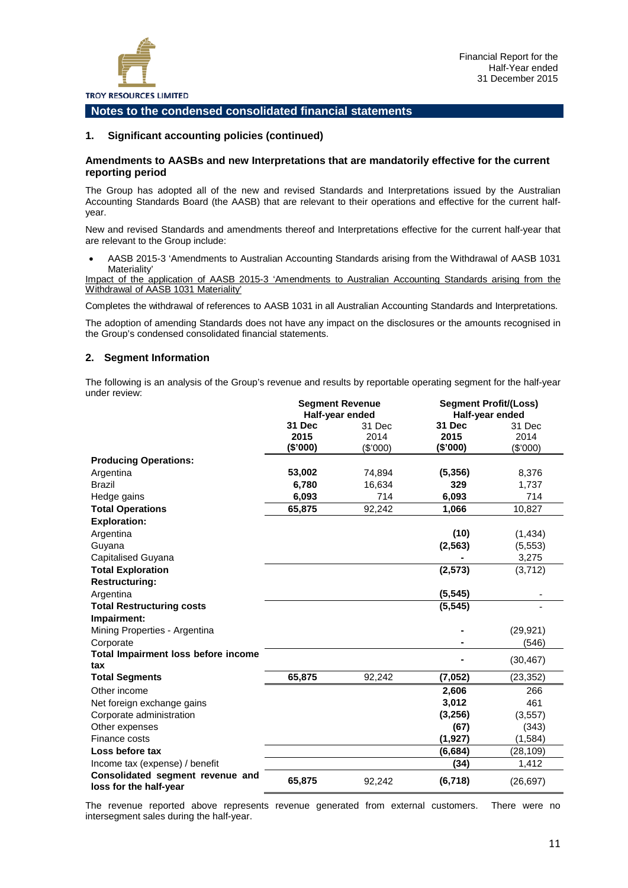

#### **1. Significant accounting policies (continued)**

#### **Amendments to AASBs and new Interpretations that are mandatorily effective for the current reporting period**

The Group has adopted all of the new and revised Standards and Interpretations issued by the Australian Accounting Standards Board (the AASB) that are relevant to their operations and effective for the current halfyear.

New and revised Standards and amendments thereof and Interpretations effective for the current half-year that are relevant to the Group include:

• AASB 2015-3 'Amendments to Australian Accounting Standards arising from the Withdrawal of AASB 1031 Materiality'

Impact of the application of AASB 2015-3 'Amendments to Australian Accounting Standards arising from the Withdrawal of AASB 1031 Materiality'

Completes the withdrawal of references to AASB 1031 in all Australian Accounting Standards and Interpretations.

The adoption of amending Standards does not have any impact on the disclosures or the amounts recognised in the Group's condensed consolidated financial statements.

#### **2. Segment Information**

The following is an analysis of the Group's revenue and results by reportable operating segment for the half-year under review:

|                                                            | <b>Segment Revenue</b><br>Half-year ended |                            | <b>Segment Profit/(Loss)</b><br>Half-year ended |                            |
|------------------------------------------------------------|-------------------------------------------|----------------------------|-------------------------------------------------|----------------------------|
|                                                            | 31 Dec<br>2015<br>(\$'000)                | 31 Dec<br>2014<br>(\$'000) | 31 Dec<br>2015<br>(\$'000)                      | 31 Dec<br>2014<br>(\$'000) |
| <b>Producing Operations:</b>                               |                                           |                            |                                                 |                            |
| Argentina                                                  | 53,002                                    | 74,894                     | (5, 356)                                        | 8,376                      |
| <b>Brazil</b>                                              | 6,780                                     | 16,634                     | 329                                             | 1,737                      |
| Hedge gains                                                | 6,093                                     | 714                        | 6,093                                           | 714                        |
| <b>Total Operations</b>                                    | 65,875                                    | 92,242                     | 1,066                                           | 10,827                     |
| <b>Exploration:</b>                                        |                                           |                            |                                                 |                            |
| Argentina                                                  |                                           |                            | (10)                                            | (1, 434)                   |
| Guyana                                                     |                                           |                            | (2, 563)                                        | (5, 553)                   |
| Capitalised Guyana                                         |                                           |                            |                                                 | 3,275                      |
| <b>Total Exploration</b>                                   |                                           |                            | (2, 573)                                        | (3,712)                    |
| <b>Restructuring:</b>                                      |                                           |                            |                                                 |                            |
| Argentina                                                  |                                           |                            | (5, 545)                                        |                            |
| <b>Total Restructuring costs</b>                           |                                           |                            | (5, 545)                                        |                            |
| Impairment:                                                |                                           |                            |                                                 |                            |
| Mining Properties - Argentina                              |                                           |                            |                                                 | (29, 921)                  |
| Corporate                                                  |                                           |                            |                                                 | (546)                      |
| <b>Total Impairment loss before income</b><br>tax          |                                           |                            |                                                 | (30, 467)                  |
| <b>Total Segments</b>                                      | 65,875                                    | 92,242                     | (7,052)                                         | (23, 352)                  |
| Other income                                               |                                           |                            | 2,606                                           | 266                        |
| Net foreign exchange gains                                 |                                           |                            | 3,012                                           | 461                        |
| Corporate administration                                   |                                           |                            | (3,256)                                         | (3, 557)                   |
| Other expenses                                             |                                           |                            | (67)                                            | (343)                      |
| Finance costs                                              |                                           |                            | (1, 927)                                        | (1,584)                    |
| Loss before tax                                            |                                           |                            | (6, 684)                                        | (28, 109)                  |
| Income tax (expense) / benefit                             |                                           |                            | (34)                                            | 1,412                      |
| Consolidated segment revenue and<br>loss for the half-year | 65,875                                    | 92,242                     | (6, 718)                                        | (26, 697)                  |

The revenue reported above represents revenue generated from external customers. There were no intersegment sales during the half-year.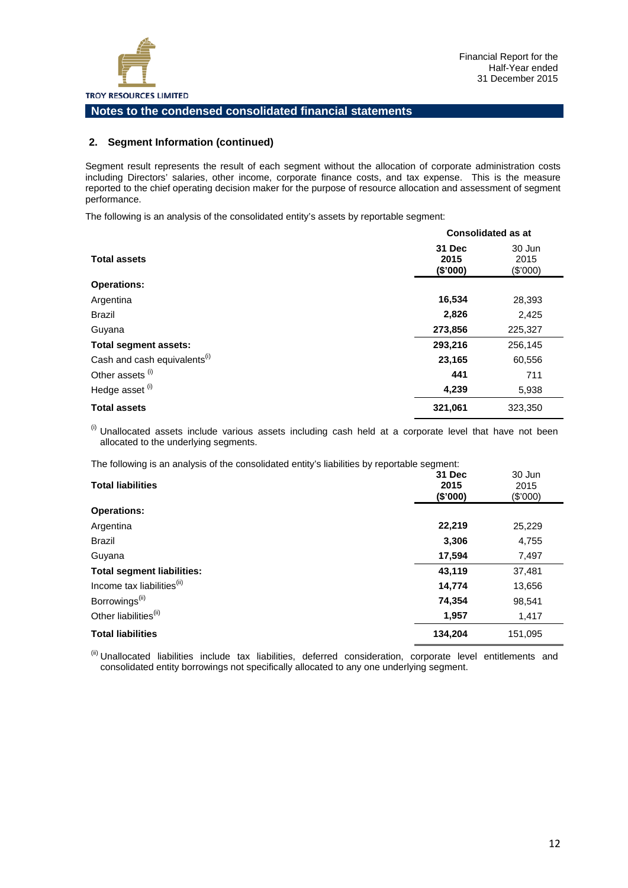#### **2. Segment Information (continued)**

Segment result represents the result of each segment without the allocation of corporate administration costs including Directors' salaries, other income, corporate finance costs, and tax expense. This is the measure reported to the chief operating decision maker for the purpose of resource allocation and assessment of segment performance.

The following is an analysis of the consolidated entity's assets by reportable segment:

|                                          |                                   | <b>Consolidated as at</b>  |
|------------------------------------------|-----------------------------------|----------------------------|
| <b>Total assets</b>                      | <b>31 Dec</b><br>2015<br>(\$'000) | 30 Jun<br>2015<br>(\$'000) |
| <b>Operations:</b>                       |                                   |                            |
| Argentina                                | 16,534                            | 28,393                     |
| <b>Brazil</b>                            | 2,826                             | 2,425                      |
| Guyana                                   | 273,856                           | 225,327                    |
| <b>Total segment assets:</b>             | 293,216                           | 256,145                    |
| Cash and cash equivalents <sup>(i)</sup> | 23,165                            | 60,556                     |
| Other assets <sup>(i)</sup>              | 441                               | 711                        |
| Hedge asset <sup>(i)</sup>               | 4,239                             | 5,938                      |
| <b>Total assets</b>                      | 321,061                           | 323,350                    |

 $<sup>(i)</sup>$  Unallocated assets include various assets including cash held at a corporate level that have not been</sup> allocated to the underlying segments.

The following is an analysis of the consolidated entity's liabilities by reportable segment:

| $\cdots$ . The company of the company of the component of a section of the change of $\alpha$ |         |          |
|-----------------------------------------------------------------------------------------------|---------|----------|
|                                                                                               | 31 Dec  | 30 Jun   |
| <b>Total liabilities</b>                                                                      | 2015    | 2015     |
|                                                                                               | (\$000) | (\$'000) |
| <b>Operations:</b>                                                                            |         |          |
| Argentina                                                                                     | 22,219  | 25,229   |
| <b>Brazil</b>                                                                                 | 3,306   | 4,755    |
| Guyana                                                                                        | 17,594  | 7,497    |
| <b>Total segment liabilities:</b>                                                             | 43,119  | 37,481   |
| Income tax liabilities <sup>(ii)</sup>                                                        | 14,774  | 13,656   |
| Borrowings <sup>(ii)</sup>                                                                    | 74,354  | 98,541   |
| Other liabilities <sup>(ii)</sup>                                                             | 1,957   | 1,417    |
| <b>Total liabilities</b>                                                                      | 134,204 | 151,095  |
|                                                                                               |         |          |

(ii) Unallocated liabilities include tax liabilities, deferred consideration, corporate level entitlements and consolidated entity borrowings not specifically allocated to any one underlying segment.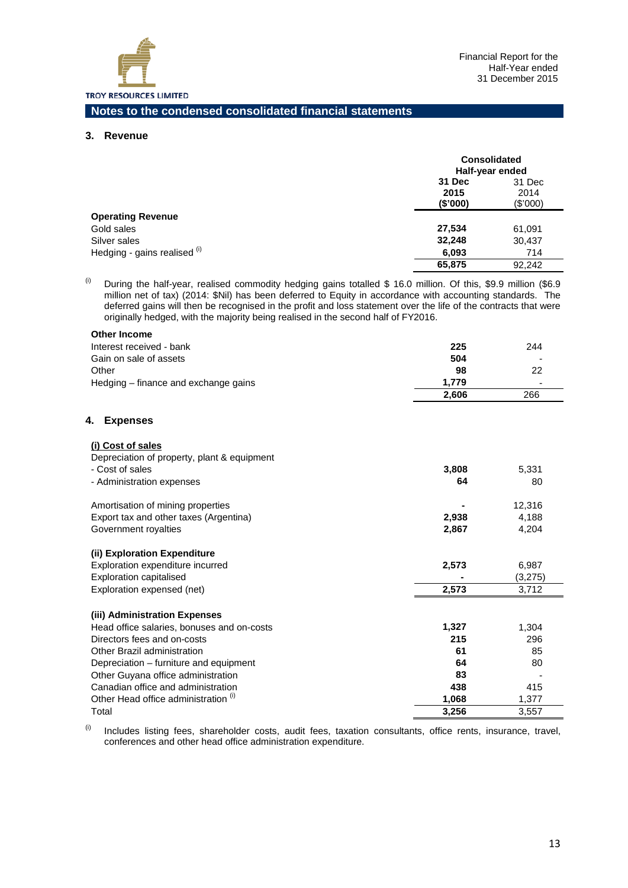

#### **3. Revenue**

÷.

|                              | <b>Consolidated</b><br>Half-year ended |                            |
|------------------------------|----------------------------------------|----------------------------|
|                              | 31 Dec<br>2015<br>(\$'000)             | 31 Dec<br>2014<br>(\$'000) |
| <b>Operating Revenue</b>     |                                        |                            |
| Gold sales                   | 27,534                                 | 61,091                     |
| Silver sales                 | 32,248                                 | 30,437                     |
| Hedging - gains realised (i) | 6,093                                  | 714                        |
|                              | 65,875                                 | 92.242                     |

<sup>(i)</sup> During the half-year, realised commodity hedging gains totalled \$ 16.0 million. Of this, \$9.9 million (\$6.9 million net of tax) (2014: \$Nil) has been deferred to Equity in accordance with accounting standards. The deferred gains will then be recognised in the profit and loss statement over the life of the contracts that were originally hedged, with the majority being realised in the second half of FY2016.

| <b>Other Income</b>                             |       |         |
|-------------------------------------------------|-------|---------|
| Interest received - bank                        | 225   | 244     |
| Gain on sale of assets                          | 504   |         |
| Other                                           | 98    | 22      |
| Hedging – finance and exchange gains            | 1,779 |         |
|                                                 | 2,606 | 266     |
| <b>Expenses</b><br>4.                           |       |         |
| (i) Cost of sales                               |       |         |
| Depreciation of property, plant & equipment     |       |         |
| - Cost of sales                                 | 3,808 | 5,331   |
| - Administration expenses                       | 64    | 80      |
| Amortisation of mining properties               |       | 12,316  |
| Export tax and other taxes (Argentina)          | 2,938 | 4,188   |
| Government royalties                            | 2,867 | 4,204   |
| (ii) Exploration Expenditure                    |       |         |
| Exploration expenditure incurred                | 2,573 | 6,987   |
| <b>Exploration capitalised</b>                  |       | (3,275) |
| Exploration expensed (net)                      | 2,573 | 3,712   |
| (iii) Administration Expenses                   |       |         |
| Head office salaries, bonuses and on-costs      | 1,327 | 1,304   |
| Directors fees and on-costs                     | 215   | 296     |
| Other Brazil administration                     | 61    | 85      |
| Depreciation – furniture and equipment          | 64    | 80      |
| Other Guyana office administration              | 83    |         |
| Canadian office and administration              | 438   | 415     |
| Other Head office administration <sup>(1)</sup> | 1,068 | 1,377   |
| Total                                           | 3,256 | 3,557   |

 $(ii)$  Includes listing fees, shareholder costs, audit fees, taxation consultants, office rents, insurance, travel, conferences and other head office administration expenditure.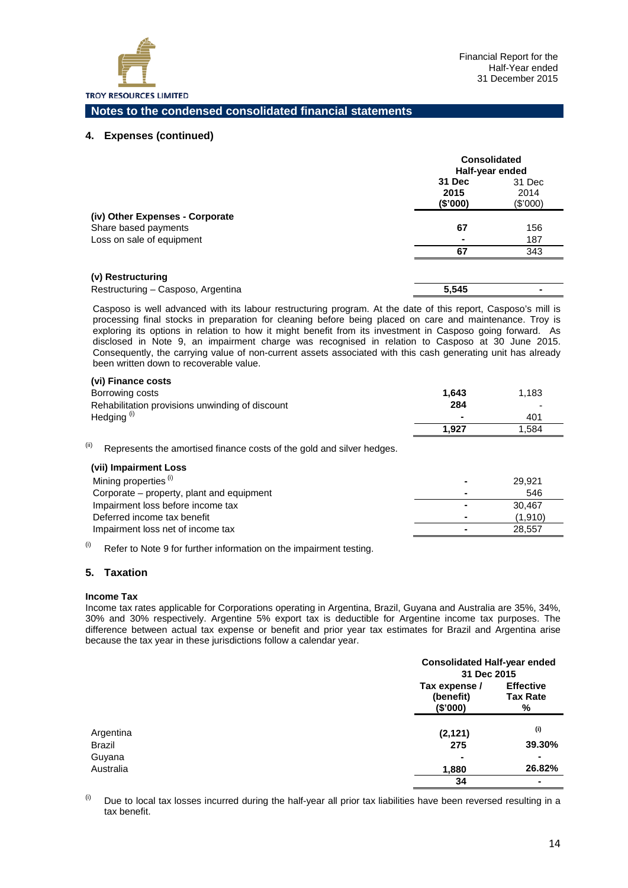

#### **4. Expenses (continued)**

|                                    | <b>Consolidated</b><br>Half-year ended |                            |  |
|------------------------------------|----------------------------------------|----------------------------|--|
|                                    | 31 Dec<br>2015<br>(\$'000)             | 31 Dec<br>2014<br>(\$'000) |  |
| (iv) Other Expenses - Corporate    |                                        |                            |  |
| Share based payments               | 67                                     | 156                        |  |
| Loss on sale of equipment          |                                        | 187                        |  |
|                                    | 67                                     | 343                        |  |
| (v) Restructuring                  |                                        |                            |  |
| Restructuring - Casposo, Argentina | 5.545                                  |                            |  |

Casposo is well advanced with its labour restructuring program. At the date of this report, Casposo's mill is processing final stocks in preparation for cleaning before being placed on care and maintenance. Troy is exploring its options in relation to how it might benefit from its investment in Casposo going forward. As disclosed in Note 9, an impairment charge was recognised in relation to Casposo at 30 June 2015. Consequently, the carrying value of non-current assets associated with this cash generating unit has already been written down to recoverable value.

#### **(vi) Finance costs**

| Borrowing costs                                 | 1.643                    | 1.183  |
|-------------------------------------------------|--------------------------|--------|
| Rehabilitation provisions unwinding of discount | 284                      | -      |
| Hedging <sup>(i)</sup>                          | $\overline{\phantom{0}}$ | 401    |
|                                                 | 1.927                    | 584. ا |

 $(iii)$  Represents the amortised finance costs of the gold and silver hedges.

| (vii) Impairment Loss                     |                          |         |
|-------------------------------------------|--------------------------|---------|
| Mining properties <sup>(i)</sup>          |                          | 29.921  |
| Corporate – property, plant and equipment | $\overline{\phantom{a}}$ | 546     |
| Impairment loss before income tax         | $\blacksquare$           | 30.467  |
| Deferred income tax benefit               |                          | (1.910) |
| Impairment loss net of income tax         |                          | 28.557  |
|                                           |                          |         |

 $(ii)$  Refer to Note 9 for further information on the impairment testing.

#### **5. Taxation**

#### **Income Tax**

Income tax rates applicable for Corporations operating in Argentina, Brazil, Guyana and Australia are 35%, 34%, 30% and 30% respectively. Argentine 5% export tax is deductible for Argentine income tax purposes. The difference between actual tax expense or benefit and prior year tax estimates for Brazil and Argentina arise because the tax year in these jurisdictions follow a calendar year.

|           |                                        | <b>Consolidated Half-year ended</b><br>31 Dec 2015 |  |
|-----------|----------------------------------------|----------------------------------------------------|--|
|           | Tax expense /<br>(benefit)<br>(\$'000) | <b>Effective</b><br><b>Tax Rate</b><br>%           |  |
| Argentina | (2, 121)                               | (i)                                                |  |
| Brazil    | 275                                    | 39.30%                                             |  |
| Guyana    | $\blacksquare$                         | $\blacksquare$                                     |  |
| Australia | 1,880                                  | 26.82%                                             |  |
|           | 34                                     |                                                    |  |

 $<sup>(i)</sup>$  Due to local tax losses incurred during the half-year all prior tax liabilities have been reversed resulting in a</sup> tax benefit.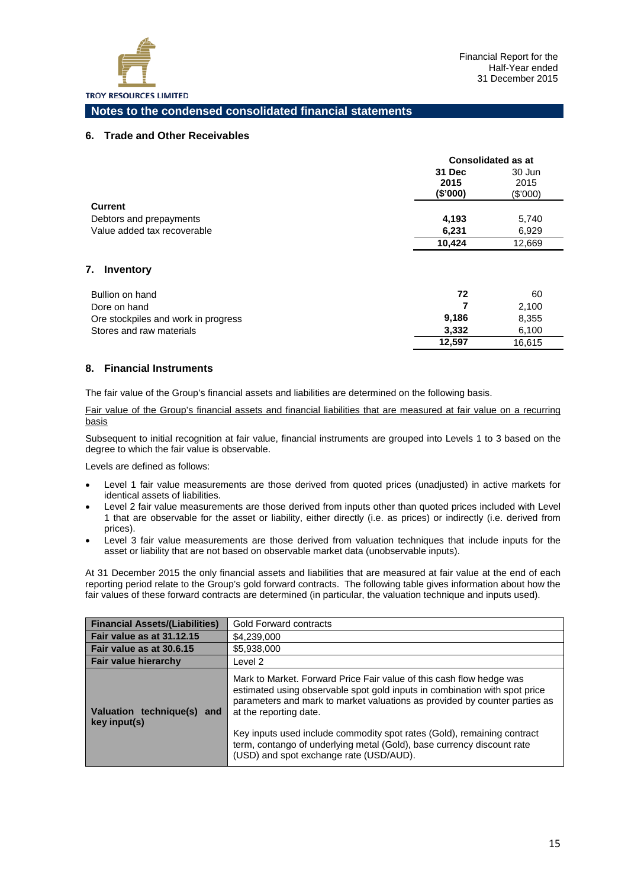

#### **6. Trade and Other Receivables**

|                             | <b>Consolidated as at</b> |          |
|-----------------------------|---------------------------|----------|
|                             | 31 Dec                    | 30 Jun   |
|                             | 2015                      | 2015     |
|                             | (S'000)                   | (\$'000) |
| <b>Current</b>              |                           |          |
| Debtors and prepayments     | 4,193                     | 5,740    |
| Value added tax recoverable | 6,231                     | 6.929    |
|                             | 10.424                    | 12,669   |

#### **7. Inventory**

| Bullion on hand                     | 72     | 60     |
|-------------------------------------|--------|--------|
| Dore on hand                        |        | 2.100  |
| Ore stockpiles and work in progress | 9.186  | 8,355  |
| Stores and raw materials            | 3.332  | 6.100  |
|                                     | 12.597 | 16.615 |

#### **8. Financial Instruments**

The fair value of the Group's financial assets and liabilities are determined on the following basis.

Fair value of the Group's financial assets and financial liabilities that are measured at fair value on a recurring basis

Subsequent to initial recognition at fair value, financial instruments are grouped into Levels 1 to 3 based on the degree to which the fair value is observable.

Levels are defined as follows:

- Level 1 fair value measurements are those derived from quoted prices (unadjusted) in active markets for identical assets of liabilities.
- Level 2 fair value measurements are those derived from inputs other than quoted prices included with Level 1 that are observable for the asset or liability, either directly (i.e. as prices) or indirectly (i.e. derived from prices).
- Level 3 fair value measurements are those derived from valuation techniques that include inputs for the asset or liability that are not based on observable market data (unobservable inputs).

At 31 December 2015 the only financial assets and liabilities that are measured at fair value at the end of each reporting period relate to the Group's gold forward contracts. The following table gives information about how the fair values of these forward contracts are determined (in particular, the valuation technique and inputs used).

| <b>Financial Assets/(Liabilities)</b>         | <b>Gold Forward contracts</b>                                                                                                                                                                                                                                                                                                                                                                                                                              |
|-----------------------------------------------|------------------------------------------------------------------------------------------------------------------------------------------------------------------------------------------------------------------------------------------------------------------------------------------------------------------------------------------------------------------------------------------------------------------------------------------------------------|
| Fair value as at 31.12.15                     | \$4,239,000                                                                                                                                                                                                                                                                                                                                                                                                                                                |
| Fair value as at 30.6.15                      | \$5,938,000                                                                                                                                                                                                                                                                                                                                                                                                                                                |
| Fair value hierarchy                          | Level 2                                                                                                                                                                                                                                                                                                                                                                                                                                                    |
| Valuation technique(s)<br>and<br>key input(s) | Mark to Market. Forward Price Fair value of this cash flow hedge was<br>estimated using observable spot gold inputs in combination with spot price<br>parameters and mark to market valuations as provided by counter parties as<br>at the reporting date.<br>Key inputs used include commodity spot rates (Gold), remaining contract<br>term, contango of underlying metal (Gold), base currency discount rate<br>(USD) and spot exchange rate (USD/AUD). |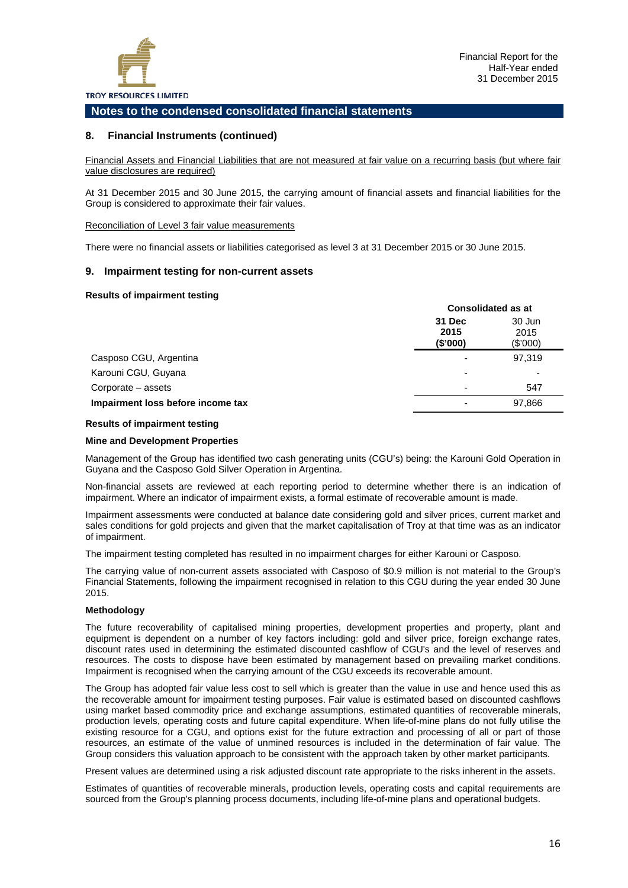

#### **8. Financial Instruments (continued)**

Financial Assets and Financial Liabilities that are not measured at fair value on a recurring basis (but where fair value disclosures are required)

At 31 December 2015 and 30 June 2015, the carrying amount of financial assets and financial liabilities for the Group is considered to approximate their fair values.

Reconciliation of Level 3 fair value measurements

There were no financial assets or liabilities categorised as level 3 at 31 December 2015 or 30 June 2015.

#### **9. Impairment testing for non-current assets**

#### **Results of impairment testing**

|                                   | <b>Consolidated as at</b>  |                            |  |
|-----------------------------------|----------------------------|----------------------------|--|
|                                   | 31 Dec<br>2015<br>(\$'000) | 30 Jun<br>2015<br>(\$'000) |  |
| Casposo CGU, Argentina            |                            | 97,319                     |  |
| Karouni CGU, Guyana               |                            | ٠                          |  |
| Corporate – assets                | -                          | 547                        |  |
| Impairment loss before income tax |                            | 97,866                     |  |

#### **Results of impairment testing**

#### **Mine and Development Properties**

Management of the Group has identified two cash generating units (CGU's) being: the Karouni Gold Operation in Guyana and the Casposo Gold Silver Operation in Argentina.

Non-financial assets are reviewed at each reporting period to determine whether there is an indication of impairment. Where an indicator of impairment exists, a formal estimate of recoverable amount is made.

Impairment assessments were conducted at balance date considering gold and silver prices, current market and sales conditions for gold projects and given that the market capitalisation of Troy at that time was as an indicator of impairment.

The impairment testing completed has resulted in no impairment charges for either Karouni or Casposo.

The carrying value of non-current assets associated with Casposo of \$0.9 million is not material to the Group's Financial Statements, following the impairment recognised in relation to this CGU during the year ended 30 June 2015.

#### **Methodology**

The future recoverability of capitalised mining properties, development properties and property, plant and equipment is dependent on a number of key factors including: gold and silver price, foreign exchange rates, discount rates used in determining the estimated discounted cashflow of CGU's and the level of reserves and resources. The costs to dispose have been estimated by management based on prevailing market conditions. Impairment is recognised when the carrying amount of the CGU exceeds its recoverable amount.

The Group has adopted fair value less cost to sell which is greater than the value in use and hence used this as the recoverable amount for impairment testing purposes. Fair value is estimated based on discounted cashflows using market based commodity price and exchange assumptions, estimated quantities of recoverable minerals, production levels, operating costs and future capital expenditure. When life-of-mine plans do not fully utilise the existing resource for a CGU, and options exist for the future extraction and processing of all or part of those resources, an estimate of the value of unmined resources is included in the determination of fair value. The Group considers this valuation approach to be consistent with the approach taken by other market participants.

Present values are determined using a risk adjusted discount rate appropriate to the risks inherent in the assets.

Estimates of quantities of recoverable minerals, production levels, operating costs and capital requirements are sourced from the Group's planning process documents, including life-of-mine plans and operational budgets.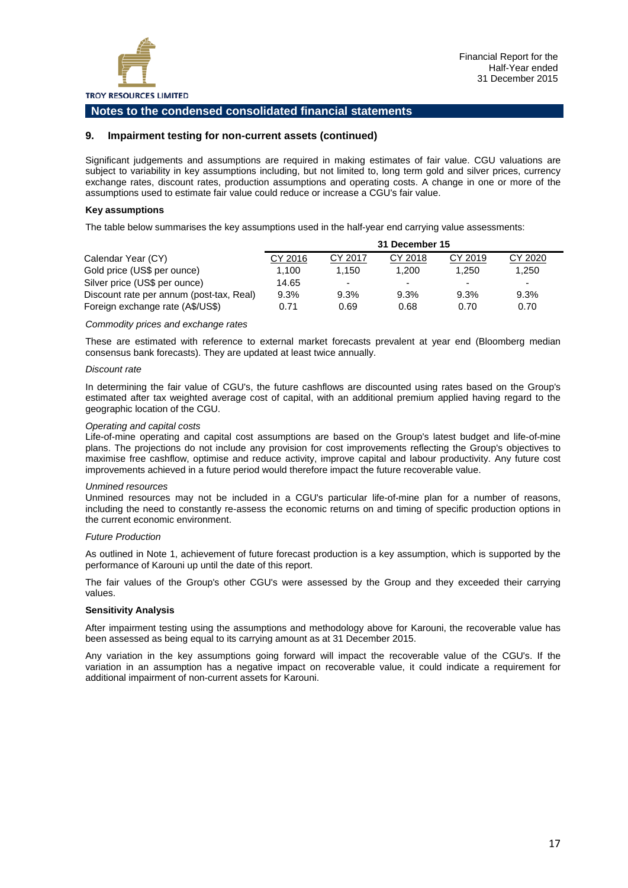

#### **9. Impairment testing for non-current assets (continued)**

Significant judgements and assumptions are required in making estimates of fair value. CGU valuations are subject to variability in key assumptions including, but not limited to, long term gold and silver prices, currency exchange rates, discount rates, production assumptions and operating costs. A change in one or more of the assumptions used to estimate fair value could reduce or increase a CGU's fair value.

#### **Key assumptions**

The table below summarises the key assumptions used in the half-year end carrying value assessments:

|                                          | 31 December 15 |                          |         |         |         |
|------------------------------------------|----------------|--------------------------|---------|---------|---------|
| Calendar Year (CY)                       | CY 2016        | CY 2017                  | CY 2018 | CY 2019 | CY 2020 |
| Gold price (US\$ per ounce)              | 1.100          | 1.150                    | 1.200   | 1.250   | 1,250   |
| Silver price (US\$ per ounce)            | 14.65          | $\overline{\phantom{0}}$ |         | $\sim$  | $\sim$  |
| Discount rate per annum (post-tax, Real) | 9.3%           | 9.3%                     | 9.3%    | 9.3%    | 9.3%    |
| Foreign exchange rate (A\$/US\$)         | 0.71           | 0.69                     | 0.68    | 0.70    | 0.70    |

#### *Commodity prices and exchange rates*

These are estimated with reference to external market forecasts prevalent at year end (Bloomberg median consensus bank forecasts). They are updated at least twice annually.

#### *Discount rate*

In determining the fair value of CGU's, the future cashflows are discounted using rates based on the Group's estimated after tax weighted average cost of capital, with an additional premium applied having regard to the geographic location of the CGU.

#### *Operating and capital costs*

Life-of-mine operating and capital cost assumptions are based on the Group's latest budget and life-of-mine plans. The projections do not include any provision for cost improvements reflecting the Group's objectives to maximise free cashflow, optimise and reduce activity, improve capital and labour productivity. Any future cost improvements achieved in a future period would therefore impact the future recoverable value.

#### *Unmined resources*

Unmined resources may not be included in a CGU's particular life-of-mine plan for a number of reasons, including the need to constantly re-assess the economic returns on and timing of specific production options in the current economic environment.

#### *Future Production*

As outlined in Note 1, achievement of future forecast production is a key assumption, which is supported by the performance of Karouni up until the date of this report.

The fair values of the Group's other CGU's were assessed by the Group and they exceeded their carrying values.

#### **Sensitivity Analysis**

After impairment testing using the assumptions and methodology above for Karouni, the recoverable value has been assessed as being equal to its carrying amount as at 31 December 2015.

Any variation in the key assumptions going forward will impact the recoverable value of the CGU's. If the variation in an assumption has a negative impact on recoverable value, it could indicate a requirement for additional impairment of non-current assets for Karouni.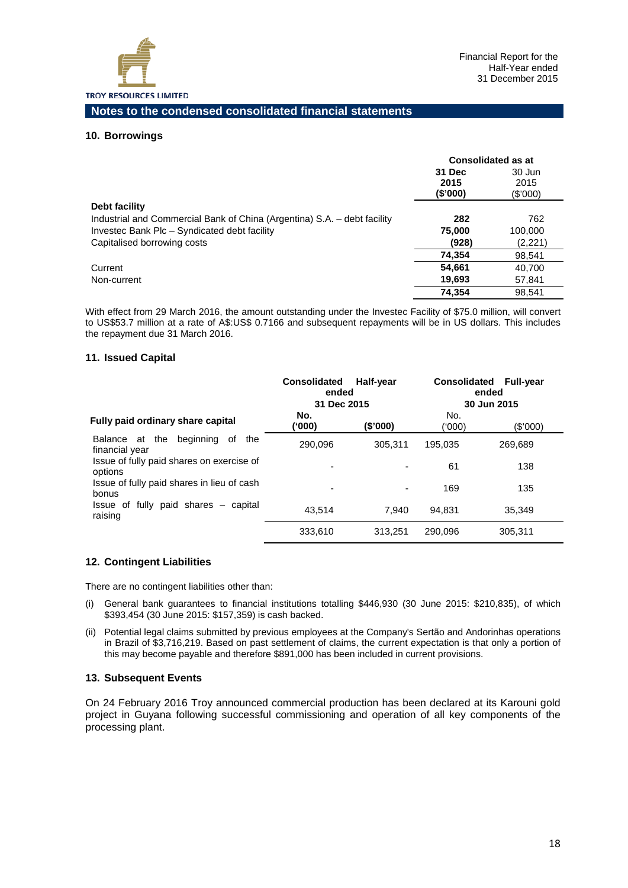

#### **10. Borrowings**

|                                                                          | <b>Consolidated as at</b>  |                            |
|--------------------------------------------------------------------------|----------------------------|----------------------------|
|                                                                          | 31 Dec<br>2015<br>(\$'000) | 30 Jun<br>2015<br>(\$'000) |
| Debt facility                                                            |                            |                            |
| Industrial and Commercial Bank of China (Argentina) S.A. - debt facility | 282                        | 762                        |
| Investec Bank Plc - Syndicated debt facility                             | 75,000                     | 100,000                    |
| Capitalised borrowing costs                                              | (928)                      | (2,221)                    |
|                                                                          | 74,354                     | 98,541                     |
| Current                                                                  | 54,661                     | 40.700                     |
| Non-current                                                              | 19,693                     | 57,841                     |
|                                                                          | 74.354                     | 98.541                     |

With effect from 29 March 2016, the amount outstanding under the Investec Facility of \$75.0 million, will convert to US\$53.7 million at a rate of A\$:US\$ 0.7166 and subsequent repayments will be in US dollars. This includes the repayment due 31 March 2016.

#### **11. Issued Capital**

|                                                               | <b>Consolidated</b><br>Half-year<br>ended<br>31 Dec 2015 |          | <b>Consolidated</b><br><b>Full-year</b><br>ended<br>30 Jun 2015 |            |
|---------------------------------------------------------------|----------------------------------------------------------|----------|-----------------------------------------------------------------|------------|
| Fully paid ordinary share capital                             | No.<br>('000)                                            | (\$'000) | No.<br>(000)                                                    | $(\$'000)$ |
| the<br>beginning<br>Balance at<br>of<br>the<br>financial year | 290.096                                                  | 305.311  | 195.035                                                         | 269.689    |
| Issue of fully paid shares on exercise of<br>options          |                                                          |          | 61                                                              | 138        |
| Issue of fully paid shares in lieu of cash<br>bonus           | ٠                                                        |          | 169                                                             | 135        |
| Issue of fully paid shares – capital<br>raising               | 43.514                                                   | 7.940    | 94.831                                                          | 35,349     |
|                                                               | 333.610                                                  | 313.251  | 290,096                                                         | 305.311    |

#### **12. Contingent Liabilities**

There are no contingent liabilities other than:

- (i) General bank guarantees to financial institutions totalling \$446,930 (30 June 2015: \$210,835), of which \$393,454 (30 June 2015: \$157,359) is cash backed.
- (ii) Potential legal claims submitted by previous employees at the Company's Sertão and Andorinhas operations in Brazil of \$3,716,219. Based on past settlement of claims, the current expectation is that only a portion of this may become payable and therefore \$891,000 has been included in current provisions.

#### **13. Subsequent Events**

On 24 February 2016 Troy announced commercial production has been declared at its Karouni gold project in Guyana following successful commissioning and operation of all key components of the processing plant.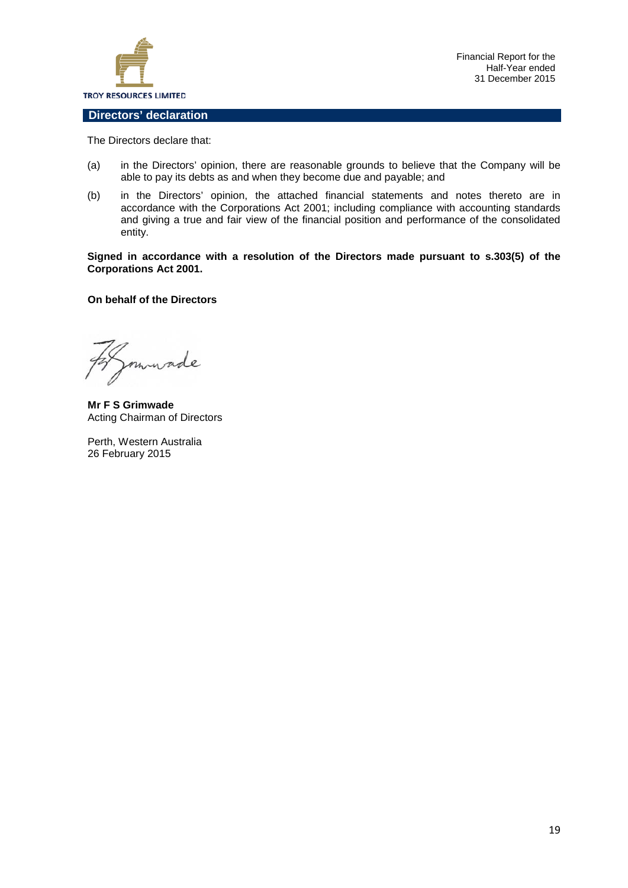

Financial Report for the Half-Year ended 31 December 2015

#### **Directors' declaration**

The Directors declare that:

- (a) in the Directors' opinion, there are reasonable grounds to believe that the Company will be able to pay its debts as and when they become due and payable; and
- (b) in the Directors' opinion, the attached financial statements and notes thereto are in accordance with the Corporations Act 2001; including compliance with accounting standards and giving a true and fair view of the financial position and performance of the consolidated entity.

**Signed in accordance with a resolution of the Directors made pursuant to s.303(5) of the Corporations Act 2001.**

#### **On behalf of the Directors**

made

**Mr F S Grimwade** Acting Chairman of Directors

Perth, Western Australia 26 February 2015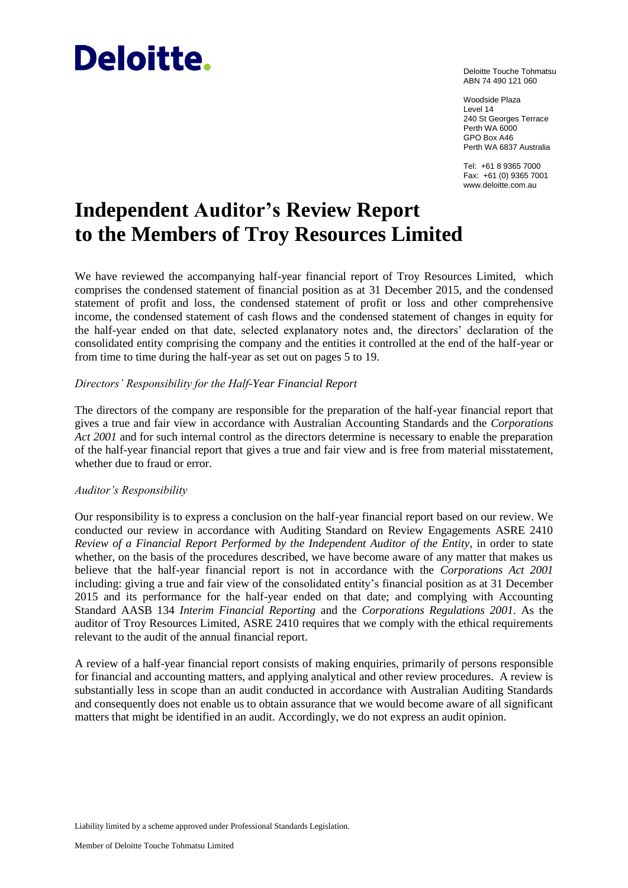# **Deloitte.**

Deloitte Touche Tohmatsu ABN 74 490 121 060

Woodside Plaza Level 14 240 St Georges Terrace Perth WA 6000 GPO Box A46 Perth WA 6837 Australia

Tel: +61 8 9365 7000 Fax: +61 (0) 9365 7001 www.deloitte.com.au

### **Independent Auditor's Review Report to the Members of Troy Resources Limited**

We have reviewed the accompanying half-year financial report of Troy Resources Limited, which comprises the condensed statement of financial position as at 31 December 2015, and the condensed statement of profit and loss, the condensed statement of profit or loss and other comprehensive income, the condensed statement of cash flows and the condensed statement of changes in equity for the half-year ended on that date, selected explanatory notes and, the directors' declaration of the consolidated entity comprising the company and the entities it controlled at the end of the half-year or from time to time during the half-year as set out on pages 5 to 19.

#### *Directors' Responsibility for the Half-Year Financial Report*

The directors of the company are responsible for the preparation of the half-year financial report that gives a true and fair view in accordance with Australian Accounting Standards and the *Corporations Act 2001* and for such internal control as the directors determine is necessary to enable the preparation of the half-year financial report that gives a true and fair view and is free from material misstatement, whether due to fraud or error.

#### *Auditor's Responsibility*

Our responsibility is to express a conclusion on the half-year financial report based on our review. We conducted our review in accordance with Auditing Standard on Review Engagements ASRE 2410 *Review of a Financial Report Performed by the Independent Auditor of the Entity*, in order to state whether, on the basis of the procedures described, we have become aware of any matter that makes us believe that the half-year financial report is not in accordance with the *Corporations Act 2001* including: giving a true and fair view of the consolidated entity's financial position as at 31 December 2015 and its performance for the half-year ended on that date; and complying with Accounting Standard AASB 134 *Interim Financial Reporting* and the *Corporations Regulations 2001*. As the auditor of Troy Resources Limited, ASRE 2410 requires that we comply with the ethical requirements relevant to the audit of the annual financial report.

A review of a half-year financial report consists of making enquiries, primarily of persons responsible for financial and accounting matters, and applying analytical and other review procedures. A review is substantially less in scope than an audit conducted in accordance with Australian Auditing Standards and consequently does not enable us to obtain assurance that we would become aware of all significant matters that might be identified in an audit. Accordingly, we do not express an audit opinion.

Liability limited by a scheme approved under Professional Standards Legislation.